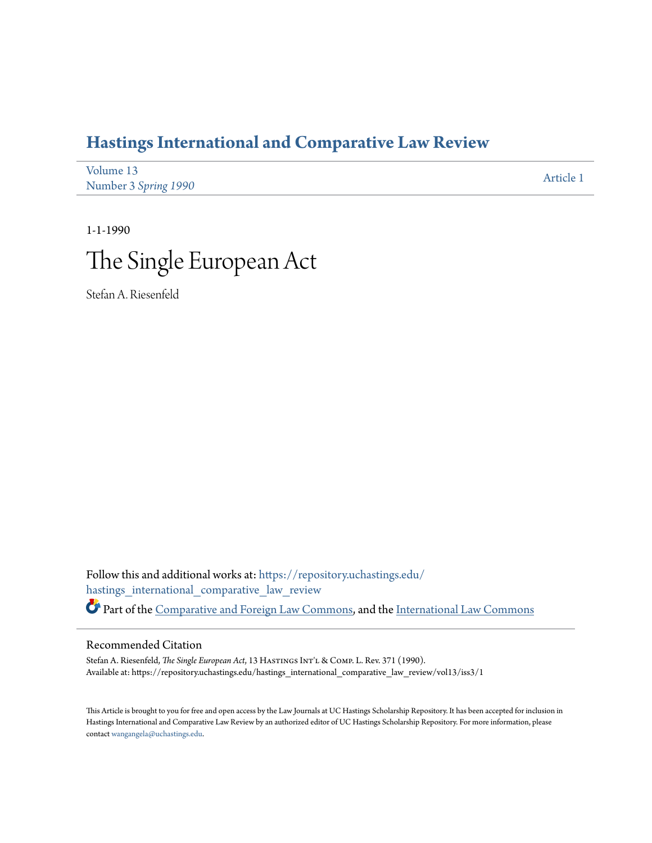## **[Hastings International and Comparative Law Review](https://repository.uchastings.edu/hastings_international_comparative_law_review?utm_source=repository.uchastings.edu%2Fhastings_international_comparative_law_review%2Fvol13%2Fiss3%2F1&utm_medium=PDF&utm_campaign=PDFCoverPages)**

| Volume 13            | Article 1 |
|----------------------|-----------|
| Number 3 Spring 1990 |           |

1-1-1990

# The Single European Act

Stefan A. Riesenfeld

Follow this and additional works at: [https://repository.uchastings.edu/](https://repository.uchastings.edu/hastings_international_comparative_law_review?utm_source=repository.uchastings.edu%2Fhastings_international_comparative_law_review%2Fvol13%2Fiss3%2F1&utm_medium=PDF&utm_campaign=PDFCoverPages) [hastings\\_international\\_comparative\\_law\\_review](https://repository.uchastings.edu/hastings_international_comparative_law_review?utm_source=repository.uchastings.edu%2Fhastings_international_comparative_law_review%2Fvol13%2Fiss3%2F1&utm_medium=PDF&utm_campaign=PDFCoverPages) Part of the [Comparative and Foreign Law Commons](http://network.bepress.com/hgg/discipline/836?utm_source=repository.uchastings.edu%2Fhastings_international_comparative_law_review%2Fvol13%2Fiss3%2F1&utm_medium=PDF&utm_campaign=PDFCoverPages), and the [International Law Commons](http://network.bepress.com/hgg/discipline/609?utm_source=repository.uchastings.edu%2Fhastings_international_comparative_law_review%2Fvol13%2Fiss3%2F1&utm_medium=PDF&utm_campaign=PDFCoverPages)

#### Recommended Citation

Stefan A. Riesenfeld, *The Single European Act*, 13 HASTINGS INT'L & COMP. L. Rev. 371 (1990). Available at: https://repository.uchastings.edu/hastings\_international\_comparative\_law\_review/vol13/iss3/1

This Article is brought to you for free and open access by the Law Journals at UC Hastings Scholarship Repository. It has been accepted for inclusion in Hastings International and Comparative Law Review by an authorized editor of UC Hastings Scholarship Repository. For more information, please contact [wangangela@uchastings.edu](mailto:wangangela@uchastings.edu).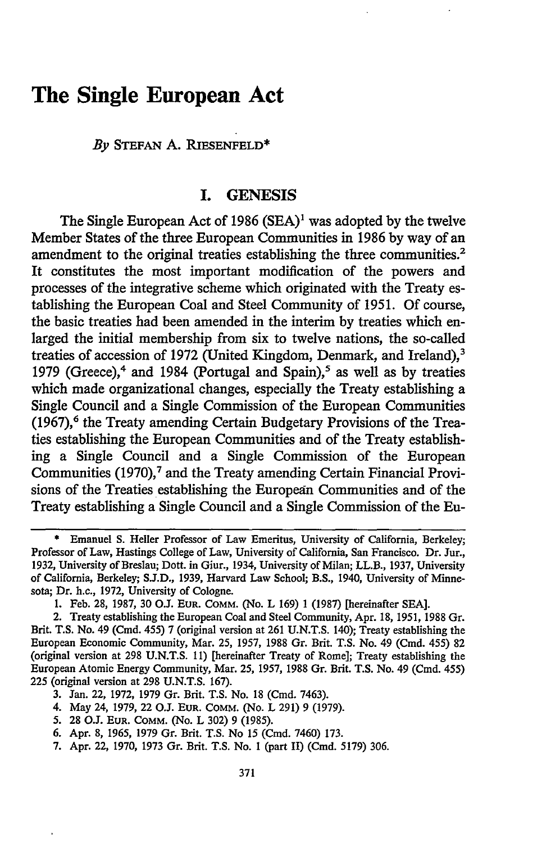### **The Single European Act**

*By* **STEFAN A.** RIESENFELD\*

#### **I. GENESIS**

The Single European Act of **1986 (SEA)1** was adopted **by** the twelve Member States of the three European Communities in **1986 by** way of an amendment to the original treaties establishing the three communities.<sup>2</sup> It constitutes the most important modification of the powers and processes of the integrative scheme which originated with the Treaty establishing the European Coal and Steel Community of **1951. Of** course, the basic treaties had been amended in the interim **by** treaties which enlarged the initial membership from six to twelve nations, the so-called treaties of accession of 1972 (United Kingdom, Denmark, and Ireland).<sup>3</sup> **1979** (Greece),4 and 1984 (Portugal and Spain),5 as well as **by** treaties which made organizational changes, especially the Treaty establishing a Single Council and a Single Commission of the European Communities **(1967),6** the Treaty amending Certain Budgetary Provisions of the Treaties establishing the European Communities and of the Treaty establishing a Single Council and a Single Commission of the European Communities (1970),<sup>7</sup> and the Treaty amending Certain Financial Provisions of the Treaties establishing the European Communities and of the Treaty establishing a Single Council and a Single Commission of the Eu-

4. May 24, **1979,** 22 O.J. **EUR.** COMM. (No. L **291)** 9 (1979).

7. Apr. 22, 1970, 1973 Gr. Brit. T.S. No. I (part II) (Cmd. 5179) 306.

**<sup>\*</sup>** Emanuel S. Heller Professor of Law Emeritus, University of California, Berkeley; Professor of Law, Hastings College of Law, University of California, San Francisco. Dr. Jur., 1932, University of Breslau; Dott. in Giur., 1934, University of Milan; LL.B., 1937, University of California, Berkeley; **S.J.D.,** 1939, Harvard Law School; B.S., 1940, University of Minnesota; Dr. h.c., 1972, University of Cologne.

<sup>1.</sup> Feb. 28, 1987, **30** O.J. **EUR. COMM.** (No. L 169) 1 (1987) [hereinafter **SEA].**

<sup>2.</sup> Treaty establishing the European Coal and Steel Community, Apr. 18, 1951, 1988 Gr. Brit. T.S. No. 49 (Cmd. 455) 7 (original version at 261 U.N.T.S. 140); Treaty establishing the European Economic Community, Mar. 25, 1957, 1988 Gr. Brit. T.S. No. 49 (Cmd. 455) **82** (original version at 298 U.N.T.S. **11)** [hereinafter Treaty of Rome]; Treaty establishing the European Atomic Energy Community, Mar. 25, **1957,** 1988 Gr. Brit. T.S. No. 49 (Cmd. 455) 225 (original version at 298 U.N.T.S. 167).

**<sup>3.</sup>** Jan. 22, 1972, **1979** Gr. Brit. T.S. No. 18 (Cmd. 7463).

**<sup>5.</sup>** 28 *O.L* **EUR. COMM.** (No. L 302) 9 (1985).

<sup>6.</sup> Apr. 8, 1965, 1979 Gr. Brit. T.S. No 15 (Cmd. 7460) 173.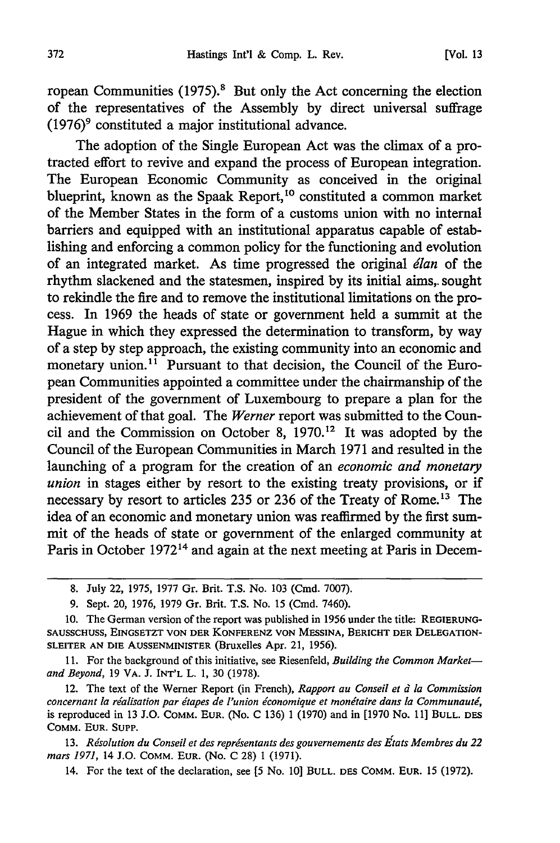ropean Communities  $(1975)^8$  But only the Act concerning the election of the representatives of the Assembly by direct universal suffrage  $(1976)$ <sup>9</sup> constituted a major institutional advance.

The adoption of the Single European Act was the climax of a protracted effort to revive and expand the process of European integration. The European Economic Community as conceived in the original blueprint, known as the Spaak Report,<sup>10</sup> constituted a common market of the Member States in the form of a customs union with no internal barriers and equipped with an institutional apparatus capable of establishing and enforcing a common policy for the functioning and evolution of an integrated market. As time progressed the original *dlan* of the rhythm slackened and the statesmen, inspired by its initial aims,. sought to rekindle the fire and to remove the institutional limitations on the process. In 1969 the heads of state or government held a summit at the Hague in which they expressed the determination to transform, by way of a step by step approach, the existing community into an economic and monetary union.<sup>11</sup> Pursuant to that decision, the Council of the European Communities appointed a committee under the chairmanship of the president of the government of Luxembourg to prepare a plan for the achievement of that goal. The *Werner* report was submitted to the Council and the Commission on October 8,  $1970$ .<sup>12</sup> It was adopted by the Council of the European Communities in March 1971 and resulted in the launching of a program for the creation of an *economic and monetary union* in stages either by resort to the existing treaty provisions, or if necessary by resort to articles 235 or 236 of the Treaty of Rome.<sup>13</sup> The idea of an economic and monetary union was reaffirmed by the first summit of the heads of state or government of the enlarged community at Paris in October 1972<sup>14</sup> and again at the next meeting at Paris in Decem-

**13.** *Rdsolution du Conseil et des reprisentants des gouvernements des Ftats Membres du 22 mars 1971,* 14 J.O. COMM. EUR. (No. C 28) 1 (1971).

14. For the text of the declaration, see **[5** No. 10] BULL. DES COMM. EUR. 15 (1972).

<sup>8.</sup> July 22, 1975, 1977 Gr. Brit. T.S. No. 103 (Cmd. 7007).

<sup>9.</sup> Sept. 20, 1976, 1979 Gr. Brit. T.S. No. 15 (Cmd. 7460).

<sup>10.</sup> The German version of the report was published in 1956 under the title: REGIERUNG-**SAUSSCHUSS, EINGSETZT VON** DER KONFERENZ **VON MESSINA,** BERICHT DER **DELEGATION-**SLEITER AN **DIE** AUSSENMINISTER (Bruxelles Apr. 21, 1956).

**<sup>11.</sup>** For the background of this initiative, see Riesenfeld, *Building the Common Marketand Beyond,* 19 VA. J. INT'L L. 1, 30 (1978).

<sup>12.</sup> The text of the Werner Report (in French), *Rapport au Conseil et d la Commission* concernant la réalisation par étapes de l'union économique et monétaire dans la Communauté, is reproduced in 13 J.O. COMM. EUR. (No. C 136) 1 (1970) and in [1970 No. 11] **BULL. DES** COMM. **EUR. SUPP.**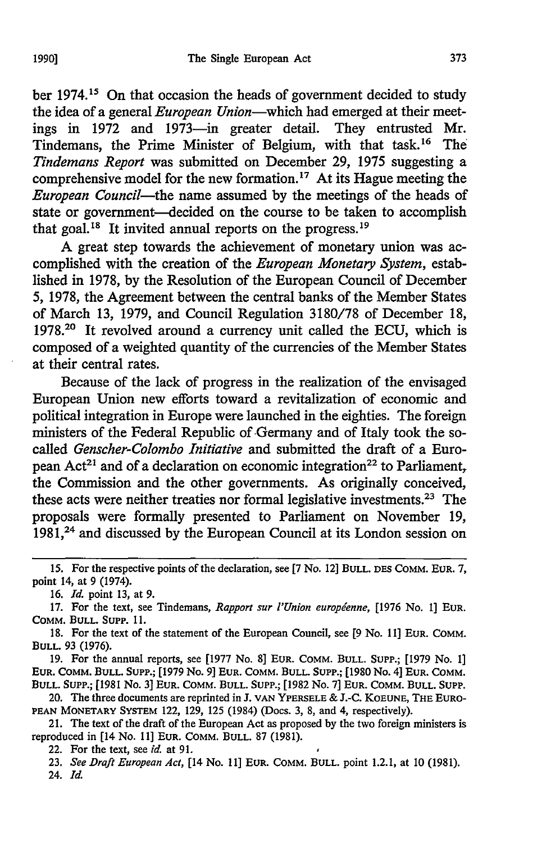ber 1974.<sup>15</sup> On that occasion the heads of government decided to study the idea of a general *European Union-which* had emerged at their meetings in 1972 and 1973-in greater detail. They entrusted Mr. Tindemans, the Prime Minister of Belgium, with that task.16 The *Tindemans Report* was submitted on December 29, 1975 suggesting a comprehensive model for the new formation.17 At its Hague meeting the *European Council-the* name assumed by the meetings of the heads of state or government-decided on the course to be taken to accomplish that goal.<sup>18</sup> It invited annual reports on the progress.<sup>19</sup>

A great step towards the achievement of monetary union was accomplished with the creation of the *European Monetary System,* established in 1978, by the Resolution of the European Council of December 5, 1978, the Agreement between the central banks of the Member States of March 13, 1979, and Council Regulation 3180/78 of December 18, 1978.20 It revolved around a currency unit called the ECU, which is composed of a weighted quantity of the currencies of the Member States at their central rates.

Because of the lack of progress in the realization of the envisaged European Union new efforts toward a revitalization of economic and political integration in Europe were launched in the eighties. The foreign ministers of the Federal Republic of Germany and of Italy took the socalled *Genscher-Colombo Initiative* and submitted the draft of a European Act<sup>21</sup> and of a declaration on economic integration<sup>22</sup> to Parliament, the Commission and the other governments. As originally conceived, these acts were neither treaties nor formal legislative investments.23 The proposals were formally presented to Parliament on November 19, 1981,<sup>24</sup> and discussed by the European Council at its London session on

19. For the annual reports, see [1977 No. 8] EUR. COMM. BULL. SuPP.; [1979 No. **1] EUR.** COMM. **BULL.** SUPP.; [1979 No. 9] **EUR.** COMM. **BULL.** SUPP.; [1980 No. 4] **EUR.** COMM. **BULL.** SUPP.; [1981 No. 3] EUR. COMM. **BULL. SUPP.;** [1982 No. 7] **EUR.** COMM. BULL. **SUPP.**

20. The three documents are reprinted in J. VAN YPERSELE & J.-C. KOEUNE, THE EURO-**PEAN** MONETARY SYSTEM 122, 129, 125 (1984) (Docs. 3, 8, and 4, respectively).

21. The text of the draft of the European Act as proposed by the two foreign ministers is reproduced in [14 No. **11] EUR.** COMM. **BULL.** 87 (1981).

**<sup>15.</sup>** For the respective points of the declaration, see **[7** No. 12] **BULL. DES** COMM. **EUR.** 7, point 14, at 9 (1974).

<sup>16.</sup> *Id.* point 13, at 9.

<sup>17.</sup> For the text, see Tindenans, *Rapport sur l'Union europdenne,* [1976 No. 1] **EUR.** COMM. **BULL. SUPP. 11.**

**<sup>18.</sup>** For the text of the statement of the European Council, see **[9** No. 11] **EUR.** COMM. **BULL.** 93 (1976).

<sup>22.</sup> For the text, see *id.* at **91.**

<sup>23.</sup> *See Draft European Act,* [14 No. 11] EUR. COMM. BULL. point 1.2.1, at **10** (1981).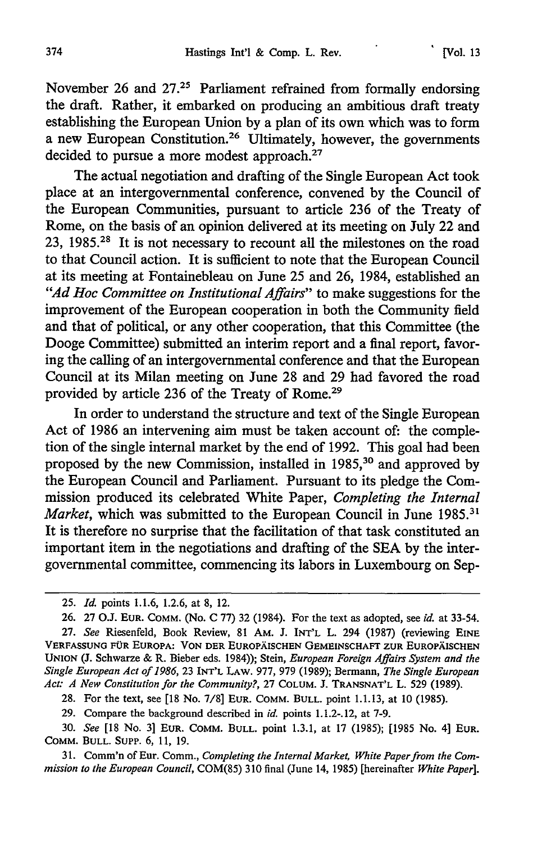November 26 and 27.<sup>25</sup> Parliament refrained from formally endorsing the draft. Rather, it embarked on producing an ambitious draft treaty establishing the European Union by a plan of its own which was to form a new European Constitution.26 Ultimately, however, the governments decided to pursue a more modest approach.<sup>27</sup>

The actual negotiation and drafting of the Single European Act took place at an intergovernmental conference, convened by the Council of the European Communities, pursuant to article 236 of the Treaty of Rome, on the basis of an opinion delivered at its meeting on July 22 and 23, 1985.2" It is not necessary to recount all the milestones on the road to that Council action. It is sufficient to note that the European Council at its meeting at Fontainebleau on June 25 and 26, 1984, established an *"Ad Hoc Committee on Institutional Affairs"* to make suggestions for the improvement of the European cooperation in both the Community field and that of political, or any other cooperation, that this Committee (the Dooge Committee) submitted an interim report and a final report, favoring the calling of an intergovernmental conference and that the European Council at its Milan meeting on June 28 and 29 had favored the road provided by article 236 of the Treaty of Rome.29

In order to understand the structure and text of the Single European Act of 1986 an intervening aim must be taken account of: the completion of the single internal market by the end of 1992. This goal had been proposed by the new Commission, installed in **1985, <sup>30</sup>**and approved by the European Council and Parliament. Pursuant to its pledge the Commission produced its celebrated White Paper, *Completing the Internal Market*, which was submitted to the European Council in June 1985.<sup>31</sup> It is therefore no surprise that the facilitation of that task constituted an important item in the negotiations and drafting of the SEA by the intergovernmental committee, commencing its labors in Luxembourg on Sep-

<sup>25.</sup> *Id.* points 1.1.6, 1.2.6, at 8, 12.

<sup>26. 27</sup> O.J. EUR. COMM. (No. C 77) 32 (1984). For the text as adopted, see *id.* at 33-54. 27. *See* Riesenfeld, Book Review, 81 AM. J. INT'L L. 294 (1987) (reviewing EINE **VERFASSUNG FOR EUROPA: VON** DER **EUROPAISCHEN GEMEINSCHAFT** ZUR EUROPAISCHEN **UNION (J.** Schwarze & R. Bieber eds. 1984)); Stein, *European Foreign Affairs System and the Single European Act of 1986,* **23 INT'L** LAW. **977, 979 (1989);** Bermann, *The Single European Act: A New Constitution for the Community?,* 27 COLUM. J. TRANSNAT'L L. **529** (1989).

<sup>28.</sup> For the text, see [18 No. 7/8] **EUR.** COMM. BULL. point 1.1.13, at 10 (1985).

<sup>29.</sup> Compare the background described in *id.* points 1.1.2-.12, at 7-9.

<sup>30.</sup> *See* [18 No. 3] EUR. COMM. BULL. point 1.3.1, at 17 (1985); [1985 No. 4] EUR. COMM. BULL. SUPP. 6, 11, 19.

<sup>31.</sup> Comm'n of Eur. Comm., *Completing the Internal Market, White Paper from the Commission to the European Council,* COM(85) 310 final (June 14, 1985) [hereinafter *White Paper].*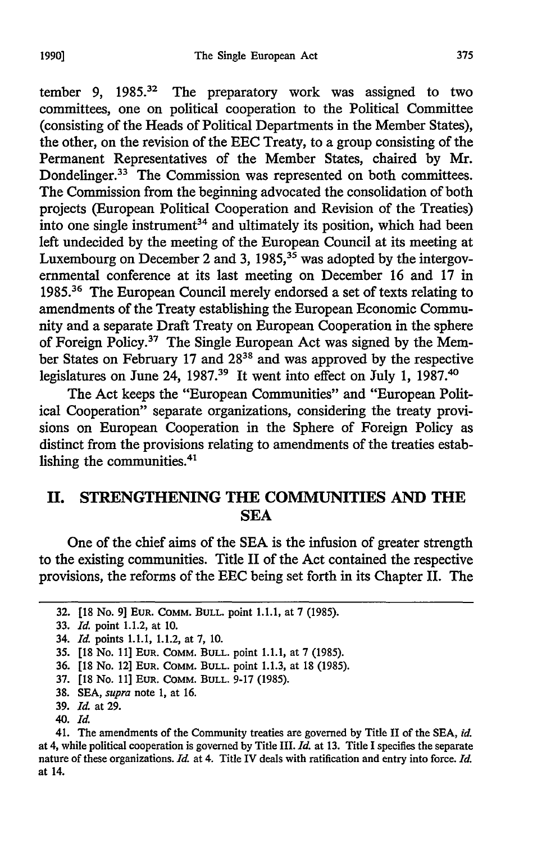tember 9, 1985.<sup>32</sup> The preparatory work was assigned to two committees, one on political cooperation to the Political Committee (consisting of the Heads of Political Departments in the Member States), the other, on the revision of the EEC Treaty, to a group consisting of the Permanent Representatives of the Member States, chaired by Mr. Dondelinger.33 The Commission was represented on both committees. The Commission from the beginning advocated the consolidation of both projects (European Political Cooperation and Revision of the Treaties) into one single instrument<sup>34</sup> and ultimately its position, which had been left undecided by the meeting of the European Council at its meeting at Luxembourg on December 2 and 3, 1985,  $35$  was adopted by the intergovernmental conference at its last meeting on December 16 and 17 in 1985.36 The European Council merely endorsed a set of texts relating to amendments of the Treaty establishing the European Economic Community and a separate Draft Treaty on European Cooperation in the sphere of Foreign Policy.<sup>37</sup> The Single European Act was signed by the Member States on February 17 and 2838 and was approved by the respective legislatures on June 24, 1987.<sup>39</sup> It went into effect on July 1, 1987.<sup>40</sup>

The Act keeps the "European Communities" and "European Political Cooperation" separate organizations, considering the treaty provisions on European Cooperation in the Sphere of Foreign Policy as distinct from the provisions relating to amendments of the treaties establishing the communities.<sup>41</sup>

#### **II. STRENGTHENING THE COMMUNITIES AND THE SEA**

One of the chief aims of the **SEA** is the infusion of greater strength to the existing communities. Title II of the Act contained the respective provisions, the reforms of the **EEC** being set forth in its Chapter II. The

**<sup>32. [18</sup>** No. **9] EUR. COMM. BULL.** point **1.1.1,** at **7 (1985).**

**<sup>33.</sup>** *Id.* point 1.1.2, at **10.**

<sup>34.</sup> *kll* points **1.1.1,** 1.1.2, at **7, 10.**

**<sup>35. [18</sup>** No. **11] EUR. COMM. BULL.** point **1.1.1,** at **7 (1985).**

**<sup>36. [18</sup>** No. 12] **EUR. COMM. BULL.** point **1.1.3,** at **18 (1985).**

**<sup>37. [18</sup>** No. **11] EUR. COMM. BULL. 9-17 (1985).**

**<sup>38.</sup> SEA,** *supra* note **1,** at **16.**

**<sup>39.</sup>** *Id* at **29.**

<sup>40.</sup> *Id.*

<sup>41.</sup> The amendments of the Community treaties are governed **by** Title II of the **SEA,** *id.* at 4, while political cooperation is governed **by** Title III. *Id.* at **13.** Title I specifies the separate nature of these organizations. *Id.* at 4. Title IV deals with ratification and entry into force. *Id.* at 14.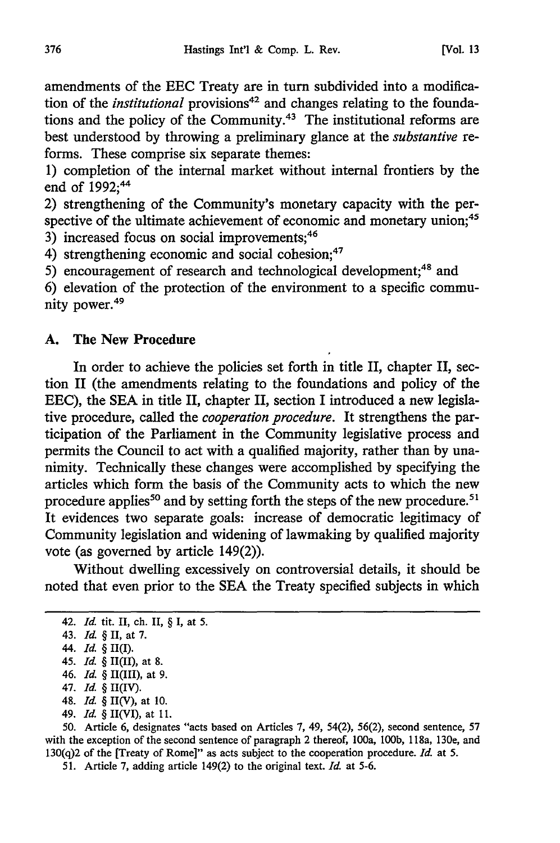amendments of the EEC Treaty are in turn subdivided into a modification of the *institutional* provisions<sup>42</sup> and changes relating to the foundations and the policy of the Community.43 The institutional reforms are best understood by throwing a preliminary glance at the *substantive* reforms. These comprise six separate themes:

1) completion of the internal market without internal frontiers by the end of 1992;<sup>44</sup>

2) strengthening of the Community's monetary capacity with the perspective of the ultimate achievement of economic and monetary union;<sup>45</sup>

3) increased focus on social improvements;<sup>46</sup>

4) strengthening economic and social cohesion;<sup>47</sup>

5) encouragement of research and technological development;<sup>48</sup> and

6) elevation of the protection of the environment to a specific community power.<sup>49</sup>

#### **A. The New Procedure**

In order to achieve the policies set forth in title II, chapter II, section II (the amendments relating to the foundations and policy of the EEC), the SEA in title II, chapter II, section I introduced a new legislative procedure, called the *cooperation procedure.* It strengthens the participation of the Parliament in the Community legislative process and permits the Council to act with a qualified majority, rather than by unanimity. Technically these changes were accomplished by specifying the articles which form the basis of the Community acts to which the new procedure applies<sup>50</sup> and by setting forth the steps of the new procedure.<sup>51</sup> It evidences two separate goals: increase of democratic legitimacy of Community legislation and widening of lawmaking by qualified majority vote (as governed by article 149(2)).

Without dwelling excessively on controversial details, it should be noted that even prior to the SEA the Treaty specified subjects in which

- 47. *Id.* § II(IV).
- 48. *Id.* § II(V), at 10.
- 49. *Id.* § II(VI), at **11.**

50. Article 6, designates "acts based on Articles 7, 49, 54(2), 56(2), second sentence, 57 with the exception of the second sentence of paragraph 2 thereof, 100a, **100b,** 1 18a, 130e, and 130(q)2 of the [Treaty of Rome]" as acts subject to the cooperation procedure. *Id.* at 5.

51. Article 7, adding article 149(2) to the original text. *Id.* at 5-6.

<sup>42.</sup> *Id.* tit. II, ch. II, § I, at 5.

<sup>43.</sup> *Id.* § II, at 7.

<sup>44.</sup> *Id.* § II(1).

<sup>45.</sup> *Id.* § II(II), at 8.

<sup>46.</sup> *Id.* § II(III), at 9.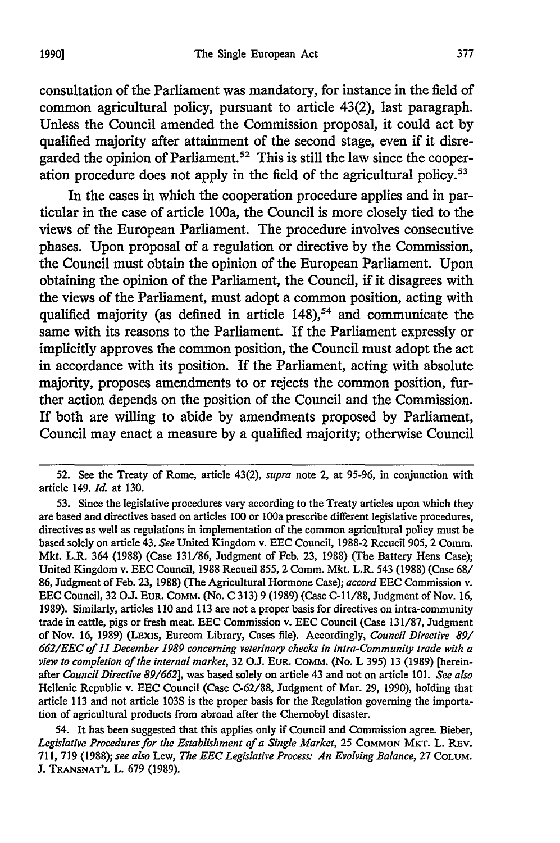consultation of the Parliament was mandatory, for instance in the field of common agricultural policy, pursuant to article 43(2), last paragraph. Unless the Council amended the Commission proposal, it could act by qualified majority after attainment of the second stage, even if it disregarded the opinion of Parliament.<sup>52</sup> This is still the law since the cooperation procedure does not apply in the field of the agricultural policy.<sup>53</sup>

In the cases in which the cooperation procedure applies and in particular in the case of article 100a, the Council is more closely tied to the views of the European Parliament. The procedure involves consecutive phases. Upon proposal of a regulation or directive by the Commission, the Council must obtain the opinion of the European Parliament. Upon obtaining the opinion of the Parliament, the Council, if it disagrees with the views of the Parliament, must adopt a common position, acting with qualified majority (as defined in article  $148$ ),<sup>54</sup> and communicate the same with its reasons to the Parliament. If the Parliament expressly or implicitly approves the common position, the Council must adopt the act in accordance with its position. If the Parliament, acting with absolute majority, proposes amendments to or rejects the common position, further action depends on the position of the Council and the Commission. If both are willing to abide by amendments proposed by Parliament, Council may enact a measure by a qualified majority; otherwise Council

54. It has been suggested that this applies only if Council and Commission agree. Bieber, *Legislative Procedures for the Establishment of a Single Market,* 25 **COMMON** MKT. L. REV. 711, 719 (1988); *see also Lew, The EEC Legislative Process: An Evolving Balance,* 27 **COLUM.** J. **TRANSNAT'L** L. 679 (1989).

<sup>52.</sup> See the Treaty of Rome, article 43(2), *supra* note 2, at 95-96, in conjunction with article 149. *Id.* at 130.

<sup>53.</sup> Since the legislative procedures vary according to the Treaty articles upon which they are based and directives based on articles **100** or 100a prescribe different legislative procedures, directives as well as regulations in implementation of the common agricultural policy must be based solely on article 43. *See* United Kingdom v. EEC Council, 1988-2 Recueil 905, 2 Comm. Mkt. L.R. 364 (1988) (Case 131/86, Judgment of Feb. 23, 1988) (The Battery Hens Case); United Kingdom v. EEC Council, 1988 Recueil 855, 2 Comm. Mkt. L.R. 543 (1988) (Case 68/ 86, Judgment of Feb. 23, 1988) (The Agricultural Hormone Case); *accord* EEC Commission v. EEC Council, **32** O.J. EUR. COMM. (No. C 313) **9** (1989) (Case **C-1** 1/88, Judgment of Nov. 16, 1989). Similarly, articles 110 and 113 are not a proper basis for directives on intra-community trade in cattle, pigs or fresh meat. EEC Commission v. EEC Council (Case 131/87, Judgment of Nov. 16, 1989) (LExIs, Eurcom Library, Cases file). Accordingly, *Council Directive 89/ 662/EEC of 11 December 1989 concerning veterinary checks in intra-Community trade with a view to completion of the internal market,* 32 O.J. **EUR.** COMM. (No. L 395) 13 (1989) [hereinafter *Council Directive 89/662],* was based solely on article 43 and not on article 101. *See also* Hellenic Republic v. EEC Council (Case C-62/88, Judgment of Mar. 29, 1990), holding that article 113 and not article 103S is the proper basis for the Regulation governing the importation of agricultural products from abroad after the Chernobyl disaster.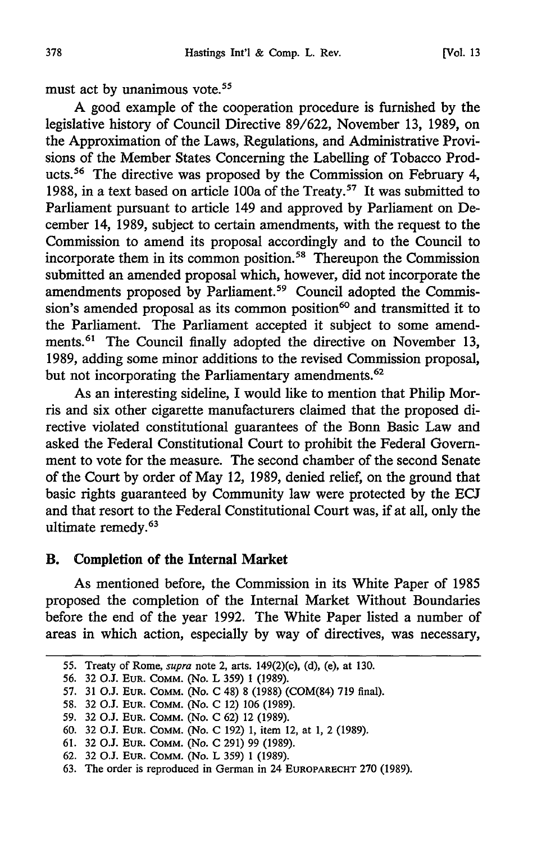must act by unanimous vote.<sup>55</sup>

A good example of the cooperation procedure is furnished by the legislative history of Council Directive 89/622, November 13, 1989, on the Approximation of the Laws, Regulations, and Administrative Provisions of the Member States Concerning the Labelling of Tobacco Products.<sup>56</sup> The directive was proposed by the Commission on February 4, 1988, in a text based on article 100a of the Treaty.57 It was submitted to Parliament pursuant to article 149 and approved by Parliament on December 14, 1989, subject to certain amendments, with the request to the Commission to amend its proposal accordingly and to the Council to incorporate them in its common position.<sup>58</sup> Thereupon the Commission submitted an amended proposal which, however, did not incorporate the amendments proposed by Parliament.<sup>59</sup> Council adopted the Commission's amended proposal as its common position $60$  and transmitted it to the Parliament. The Parliament accepted it subject to some amendments.<sup>61</sup> The Council finally adopted the directive on November 13, 1989, adding some minor additions to the revised Commission proposal, but not incorporating the Parliamentary amendments.<sup>62</sup>

As an interesting sideline, I would like to mention that Philip Morris and six other cigarette manufacturers claimed that the proposed directive violated constitutional guarantees of the Bonn Basic Law and asked the Federal Constitutional Court to prohibit the Federal Government to vote for the measure. The second chamber of the second Senate of the Court by order of May 12, 1989, denied relief, on the ground that basic rights guaranteed by Community law were protected by the ECJ and that resort to the Federal Constitutional Court was, if at all, only the ultimate remedy.<sup>63</sup>

#### B. Completion of the Internal Market

As mentioned before, the Commission in its White Paper of 1985 proposed the completion of the Internal Market Without Boundaries before the end of the year 1992. The White Paper listed a number of areas in which action, especially by way of directives, was necessary,

*<sup>55.</sup>* Treaty of Rome, *supra* note 2, arts. 149(2)(c), **(d),** (e), at **130.**

**<sup>56. 32</sup> O.J. EUR.** COMM. (No. L **359) 1 (1989).**

<sup>57.</sup> **31 O.J. EUR.** COMM. (No. **C** 48) **8 (1988)** (COM(84) **719** final).

**<sup>58. 32</sup>** *0J.* **EUR.** COMM. (No. **C** 12) **106 (1989).**

<sup>59.</sup> **32 O.J. EUR.** COMM. (No. **C 62)** 12 **(1989).**

**<sup>60. 32</sup>** 0.3. EUR. COMM. (No. C 192) **1,** item 12, at 1, 2 (1989).

**<sup>61. 32</sup> O.J. EUR.** COMM. (No. **C 291) 99 (1989).**

**<sup>62. 32</sup> O.J. EUR.** COMM. (No. L **359) 1 (1989).**

**<sup>63.</sup>** The order is reproduced in German in 24 EUROPARECHT **270 (1989).**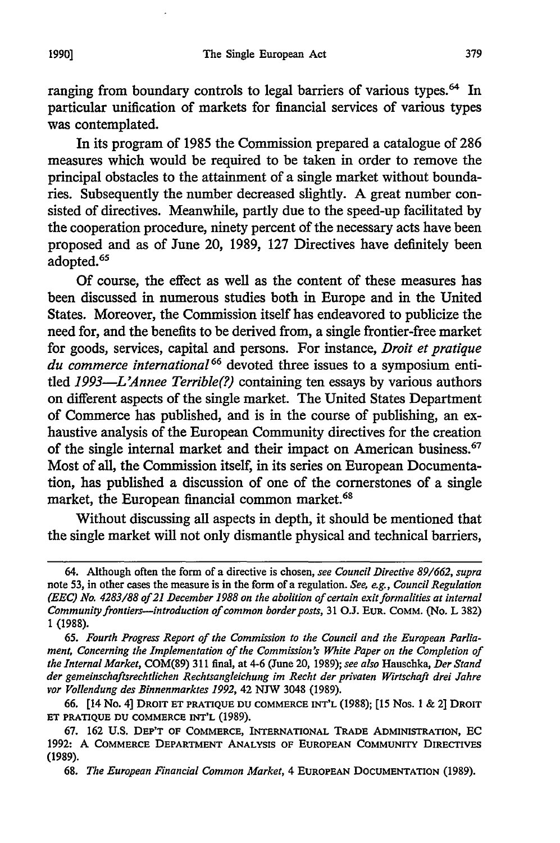ranging from boundary controls to legal barriers of various types.<sup>64</sup> In particular unification of markets for financial services of various types was contemplated.

In its program of 1985 the Commission prepared a catalogue of 286 measures which would be required to be taken in order to remove the principal obstacles to the attainment of a single market without boundaries. Subsequently the number decreased slightly. A great number consisted of directives. Meanwhile, partly due to the speed-up facilitated by the cooperation procedure, ninety percent of the necessary acts have been proposed and as of June 20, 1989, 127 Directives have definitely been adopted.<sup>65</sup>

Of course, the effect as well as the content of these measures has been discussed in numerous studies both in Europe and in the United States. Moreover, the Commission itself has endeavored to publicize the need for, and the benefits to be derived from, a single frontier-free market for goods, services, capital and persons. For instance, *Droit et pratique du commerce international66* devoted three issues to a symposium entitled *1993-L'Annee Terrible(?)* containing ten essays by various authors on different aspects of the single market. The United States Department of Commerce has published, and is in the course of publishing, an exhaustive analysis of the European Community directives for the creation of the single internal market and their impact on American business.<sup>67</sup> Most of all, the Commission itself, in its series on European Documentation, has published a discussion of one of the cornerstones of a single market, the European financial common market.<sup>68</sup>

Without discussing all aspects in depth, it should be mentioned that the single market will not only dismantle physical and technical barriers,

68. *The European Financial Common Market,* 4 **EUROPEAN DOCUMENTATION** (1989).

<sup>64.</sup> Although often the form of a directive is chosen, *see Council Directive 89/662, supra* note 53, in other cases the measure is in the form of a regulation. *See, e.g., Council Regulation (EEC) No. 4283/88 of 21 December 1988 on the abolition of certain exit formalities at internal Community frontiers-introduction of common border posts,* 31 O.J. **EUR.** COMM. (No. L 382) **1 (1988).**

<sup>65.</sup> *Fourth Progress Report of the Commission to the Council and the European Parliament, Concerning the Implementation of the Commission's White Paper on the Completion of the Internal Market,* COM(89) 311 final, at 4-6 (June 20, 1989); *see also* Hauschka, *Der Stand der gemeinschaftsrechtlichen Rechtsangleichung im Recht der privaten Wirtschaft drei Jahre vor Vollendung des Binnenmarktes 1992,* 42 NJW 3048 (1989).

**<sup>66.</sup>** [14 **No.** 4] **DRoIT ET PRATIQUE DU COMMERCE INT'L** (1988); [15 Nos. 1 & 2] DRoIT **ET** PRATIQUE **DU COMMERCE INT'L** (1989).

<sup>67. 162</sup> U.S. **DEP'T OF COMMERCE,** INTERNATIONAL **TRADE** ADMINISTRATION, **EC** 1992: **A COMMERCE** DEPARTMENT **ANALYSIS** OF **EUROPEAN** COMMUNITY DIRECTIVES (1989).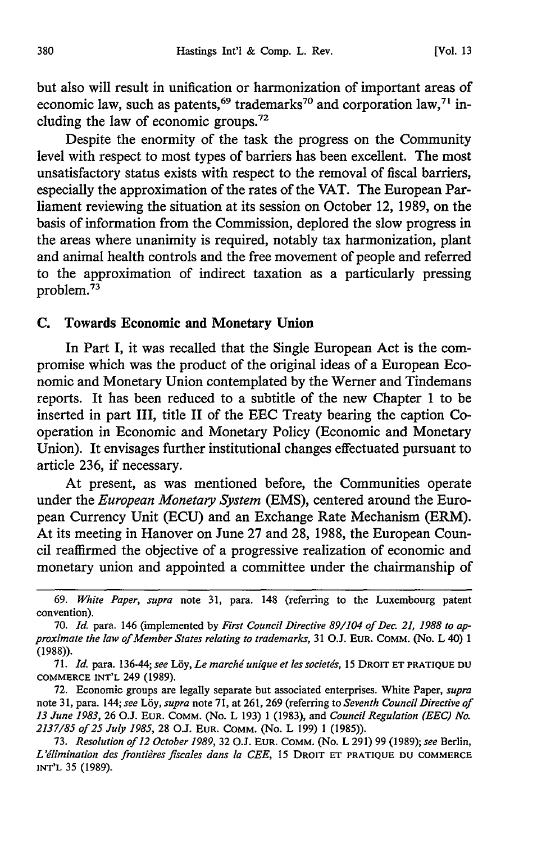but also will result in unification or harmonization of important areas of economic law, such as patents,<sup>69</sup> trademarks<sup>70</sup> and corporation law,<sup>71</sup> including the law of economic groups.72

Despite the enormity of the task the progress on the Community level with respect to most types of barriers has been excellent. The most unsatisfactory status exists with respect to the removal of fiscal barriers, especially the approximation of the rates of the VAT. The European Parliament reviewing the situation at its session on October 12, 1989, on the basis of information from the Commission, deplored the slow progress in the areas where unanimity is required, notably tax harmonization, plant and animal health controls and the free movement of people and referred to the approximation of indirect taxation as a particularly pressing problem.73

#### **C.** Towards Economic and Monetary Union

In Part I, it was recalled that the Single European Act is the compromise which was the product of the original ideas of a European Economic and Monetary Union contemplated by the Werner and Tindemans reports. It has been reduced to a subtitle of the new Chapter 1 to be inserted in part III, title II of the EEC Treaty bearing the caption Cooperation in Economic and Monetary Policy (Economic and Monetary Union). It envisages further institutional changes effectuated pursuant to article 236, if necessary.

At present, as was mentioned before, the Communities operate under the *European Monetary System* (EMS), centered around the European Currency Unit (ECU) and an Exchange Rate Mechanism (ERM). At its meeting in Hanover on June 27 and 28, 1988, the European Council reaffirmed the objective of a progressive realization of economic and monetary union and appointed a committee under the chairmanship of

*<sup>69.</sup> White Paper, supra* note 31, para. 148 (referring to the Luxembourg patent convention).

<sup>70.</sup> *Id.* para. 146 (implemented by *First Council Directive 89/104 of Dec. 2L 1988 to approximate the law of Member States relating to trademarks,* 31 O.J. **EUR.** COMM. (No. L 40) **1** (1988)).

<sup>71.</sup> *Id.* para. 136-44; *see* Ldy, *Le marchd unique et les societis,* 15 DROIT **ET PRATIQUE DU** COMMERCE INT'L 249 (1989).

<sup>72.</sup> Economic groups are legally separate but associated enterprises. White Paper, *supra* note 3 **1,** para. 144; *see Lby, supra* note 71, at 261, 269 (referring to *Seventh Council Directive of 13 June 1983,* 26 O.J. **EUR.** COMM. (No. L 193) 1 (1983), and *Council Regulation (EEC) No. 2137/85 of 25 July 1985,* 28 O.J. **EUR.** COMM. (No. L 199) **1** (1985)).

<sup>73.</sup> *Resolution of 12 October 1989,* 32 O.J. EUR. **COMM.** (No. L 291) 99 (1989); *see* Berlin, *L'ilimination des frontires fiscales dans la CEE,* **15** DROIT **ET PRATIQUE DU COMMERCE INT'L** 35 (1989).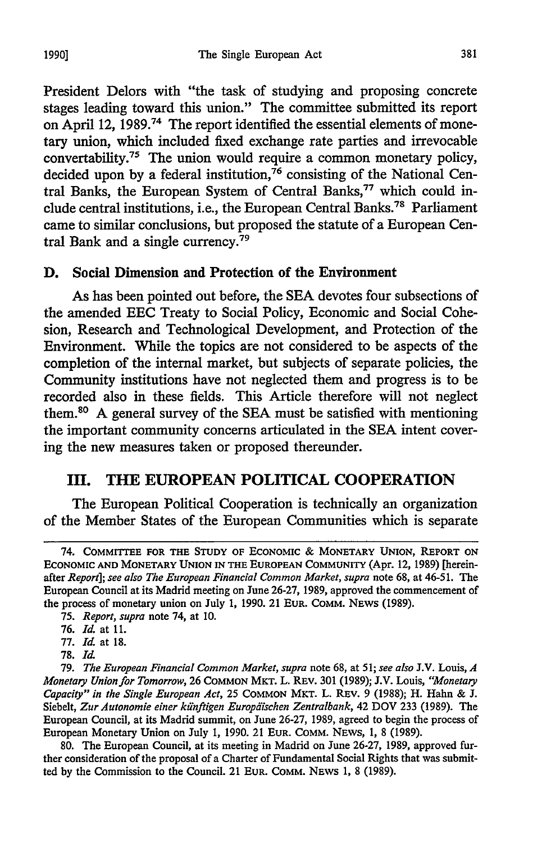President Delors with "the task of studying and proposing concrete stages leading toward this union." The committee submitted its report on April 12, 1989.74 The report identified the essential elements of monetary union, which included fixed exchange rate parties and irrevocable convertability.75 The union would require a common monetary policy, decided upon by a federal institution,<sup>76</sup> consisting of the National Central Banks, the European System of Central Banks,<sup>77</sup> which could include central institutions, i.e., the European Central Banks.78 Parliament came to similar conclusions, but proposed the statute of a European Central Bank and a single currency.<sup>79</sup>

#### **D.** Social Dimension **and** Protection of the Environment

As has been pointed out before, the **SEA** devotes four subsections of the amended **EEC** Treaty to Social Policy, Economic and Social Cohesion, Research and Technological Development, and Protection of the Environment. While the topics are not considered to be aspects of the completion of the internal market, but subjects of separate policies, the Community institutions have not neglected them and progress is to be recorded also in these fields. This Article therefore will not neglect them.80 A general survey of the **SEA** must be satisfied with mentioning the important community concerns articulated in the **SEA** intent covering the new measures taken or proposed thereunder.

#### **II. THE EUROPEAN POLITICAL COOPERATION**

The European Political Cooperation is technically an organization of the Member States of the European Communities which is separate

77. *Id.* at 18.

<sup>74.</sup> COMMITTEE **FOR THE STUDY OF ECONOMIC & MONETARY UNION, REPORT ON ECONOMIC AND MONETARY UNION IN THE EUROPEAN COMMUNITY** (Apr. **12, 1989)** [hereinafter *Report*]; see also The European Financial Common Market, supra note 68, at 46-51. The European Council at its Madrid meeting on June 26-27, 1989, approved the commencement of the process of monetary union on July 1, 1990. 21 **EUR.** COMM. NEWS (1989).

<sup>75.</sup> *Report, supra* note 74, at 10.

<sup>76.</sup> *Id.* at **11.**

**<sup>78.</sup>** *Id.*

<sup>79.</sup> *The European Financial Common Market, supra* note 68, at *51; see also* J.V. Louis, *4 Monetary Union for Tomorrow,* 26 **COMMON** MKT. L. REv. 301 (1989); J.V. Louis, *"Monetary Capacity" in the Single European Act,* 25 **COMMON** MKT. L. REv. 9 (1988); H. Hahn & J. Siebelt, *Zur Autonomie einer kfinftigen Europdischen Zentralbank,* 42 DOV 233 (1989). The European Council, at its Madrid summit, on June 26-27, 1989, agreed to begin the process of European Monetary Union on July 1, 1990. 21 **EUR.** COMM. **NEWS, 1,** 8 (1989).

<sup>80.</sup> The European Council, at its meeting in Madrid on June 26-27, 1989, approved further consideration of the proposal of a Charter of Fundamental Social Rights that was submitted by the Commission to the Council. 21 **EUR.** COMM. NEWS 1, 8 (1989).